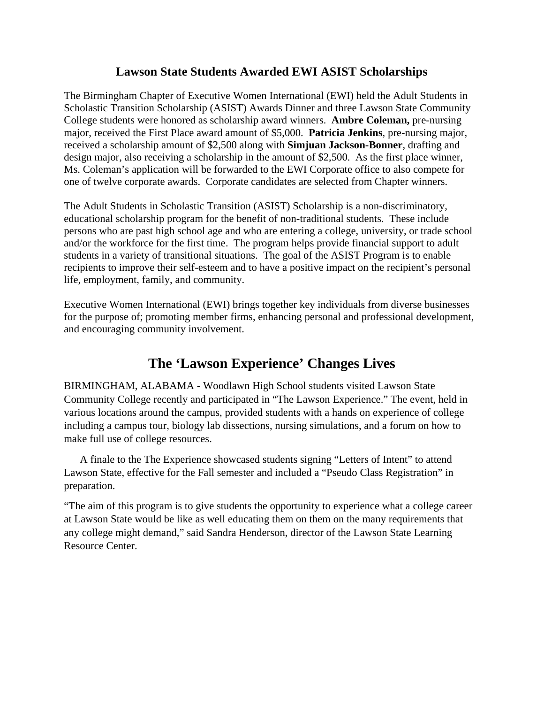## **Lawson State Students Awarded EWI ASIST Scholarships**

The Birmingham Chapter of Executive Women International (EWI) held the Adult Students in Scholastic Transition Scholarship (ASIST) Awards Dinner and three Lawson State Community College students were honored as scholarship award winners. **Ambre Coleman,** pre-nursing major, received the First Place award amount of \$5,000. **Patricia Jenkins**, pre-nursing major, received a scholarship amount of \$2,500 along with **Simjuan Jackson-Bonner**, drafting and design major, also receiving a scholarship in the amount of \$2,500. As the first place winner, Ms. Coleman's application will be forwarded to the EWI Corporate office to also compete for one of twelve corporate awards. Corporate candidates are selected from Chapter winners.

The Adult Students in Scholastic Transition (ASIST) Scholarship is a non-discriminatory, educational scholarship program for the benefit of non-traditional students. These include persons who are past high school age and who are entering a college, university, or trade school and/or the workforce for the first time. The program helps provide financial support to adult students in a variety of transitional situations. The goal of the ASIST Program is to enable recipients to improve their self-esteem and to have a positive impact on the recipient's personal life, employment, family, and community.

Executive Women International (EWI) brings together key individuals from diverse businesses for the purpose of; promoting member firms, enhancing personal and professional development, and encouraging community involvement.

## **The 'Lawson Experience' Changes Lives**

BIRMINGHAM, ALABAMA - Woodlawn High School students visited Lawson State Community College recently and participated in "The Lawson Experience." The event, held in various locations around the campus, provided students with a hands on experience of college including a campus tour, biology lab dissections, nursing simulations, and a forum on how to make full use of college resources.

 A finale to the The Experience showcased students signing "Letters of Intent" to attend Lawson State, effective for the Fall semester and included a "Pseudo Class Registration" in preparation.

"The aim of this program is to give students the opportunity to experience what a college career at Lawson State would be like as well educating them on them on the many requirements that any college might demand," said Sandra Henderson, director of the Lawson State Learning Resource Center.